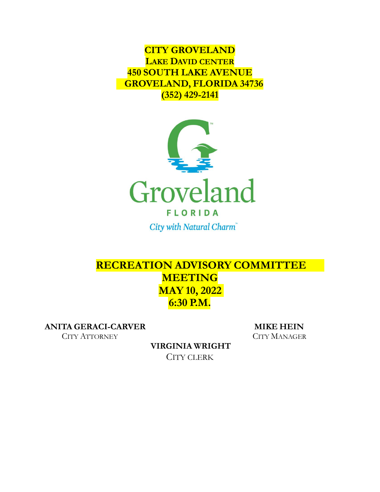**CITY GROVELAND LAKE DAVID CENTER 450 SOUTH LAKE AVENUE GROVELAND, FLORIDA 34736 (352) 429-2141**



City with Natural Charm®

# **RECREATION ADVISORY COMMITTEE MEETING MAY 10, 2022 6:30 P.M.**

**ANITA GERACI-CARVER MIKE HEIN**

CITY ATTORNEY CITY MANAGER

**VIRGINIA WRIGHT** CITY CLERK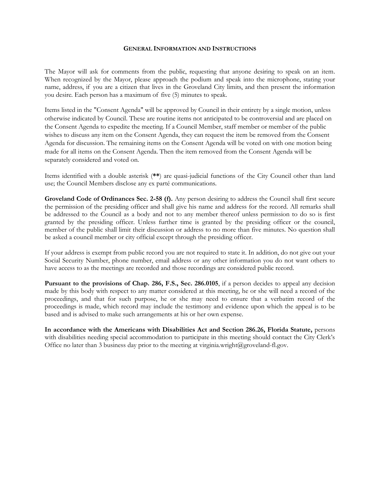#### **GENERAL INFORMATION AND INSTRUCTIONS**

The Mayor will ask for comments from the public, requesting that anyone desiring to speak on an item. When recognized by the Mayor, please approach the podium and speak into the microphone, stating your name, address, if you are a citizen that lives in the Groveland City limits, and then present the information you desire. Each person has a maximum of five (5) minutes to speak.

Items listed in the "Consent Agenda" will be approved by Council in their entirety by a single motion, unless otherwise indicated by Council. These are routine items not anticipated to be controversial and are placed on the Consent Agenda to expedite the meeting. If a Council Member, staff member or member of the public wishes to discuss any item on the Consent Agenda, they can request the item be removed from the Consent Agenda for discussion. The remaining items on the Consent Agenda will be voted on with one motion being made for all items on the Consent Agenda. Then the item removed from the Consent Agenda will be separately considered and voted on.

Items identified with a double asterisk (**\*\***) are quasi-judicial functions of the City Council other than land use; the Council Members disclose any ex parté communications.

**Groveland Code of Ordinances Sec. 2-58 (f).** Any person desiring to address the Council shall first secure the permission of the presiding officer and shall give his name and address for the record. All remarks shall be addressed to the Council as a body and not to any member thereof unless permission to do so is first granted by the presiding officer. Unless further time is granted by the presiding officer or the council, member of the public shall limit their discussion or address to no more than five minutes. No question shall be asked a council member or city official except through the presiding officer.

If your address is exempt from public record you are not required to state it. In addition, do not give out your Social Security Number, phone number, email address or any other information you do not want others to have access to as the meetings are recorded and those recordings are considered public record.

**Pursuant to the provisions of Chap. 286, F.S., Sec. 286.0105**, if a person decides to appeal any decision made by this body with respect to any matter considered at this meeting, he or she will need a record of the proceedings, and that for such purpose, he or she may need to ensure that a verbatim record of the proceedings is made, which record may include the testimony and evidence upon which the appeal is to be based and is advised to make such arrangements at his or her own expense.

**In accordance with the Americans with Disabilities Act and Section 286.26, Florida Statute,** persons with disabilities needing special accommodation to participate in this meeting should contact the City Clerk's Office no later than 3 business day prior to the meeting at virginia.wright@groveland-fl.gov.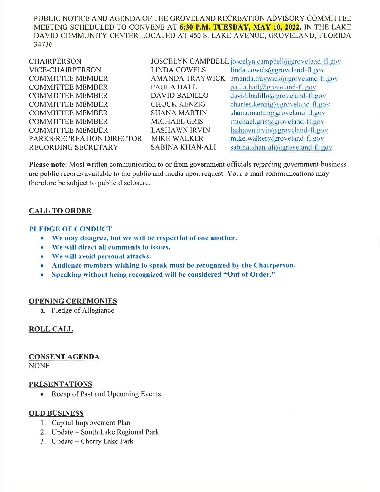PUBLIC NOTICE AND AGENDA OF THE GROVELAND RECREATION ADVISORY COMMITTEEMEETING SCHEDULED TO CONVENE AT <mark>6:30 P.M. TUESDAY, MAY 10, 2022</mark>. IN THE LAKE DAVID COMMUNITY CENTER LOCATED AT 450 S. LAKE AVENUE, GROVELAND, FLORIDA34736

| <b>CHAIRPERSON</b>        |                        | JOSCELYN CAMPBELL joscelyn.campbell@groveland-fl.gov |
|---------------------------|------------------------|------------------------------------------------------|
| VICE-CHAIRPERSON          | <b>LINDA COWELS</b>    | linda.cowels@groveland-fl.gov                        |
| <b>COMMITTEE MEMBER</b>   | <b>AMANDA TRAYWICK</b> | amanda.traywick@groveland-fl.gov                     |
| <b>COMMITTEE MEMBER</b>   | <b>PAULA HALL</b>      | $paula.hall@groveland-fl.gov$                        |
| <b>COMMITTEE MEMBER</b>   | <b>DAVID BADILLO</b>   | $david.badillo(\omega groveland-fl.gov)$             |
| <b>COMMITTEE MEMBER</b>   | <b>CHUCK KENZIG</b>    | charles.kenzig@groveland-fl.gov                      |
| <b>COMMITTEE MEMBER</b>   | <b>SHANA MARTIN</b>    | shana.martin@groveland-fl.gov                        |
| <b>COMMITTEE MEMBER</b>   | <b>MICHAEL GRIS</b>    | michael.gris@groveland-fl.gov                        |
| <b>COMMITTEE MEMBER</b>   | <b>LASHAWN IRVIN</b>   | $lashum.irvin(\omega\text{groveland-fl.gov})$        |
| PARKS/RECREATION DIRECTOR | <b>MIKE WALKER</b>     | mike.walker@groveland-fl.gov                         |
| RECORDING SECRETARY       | <b>SABINA KHAN-ALI</b> | sabina.khan-ali@groveland-fl.gov                     |
|                           |                        |                                                      |

Please note: Most written communication to or from government officials regarding government business are public records available to the public and media upon request. Your e-mail communications maytherefore be subject to public disclosure.

### CALL TO ORDER

#### PLEDGE OF CONDUCT

- o We nray disagree, but we will be respectful of one another.
- o We will direct all comments to issues.
- $\bullet$  We will avoid personal attacks.
- Audience members wishing to speak must be recognized by the Chairperson.
- . Speaking without being recognizecl will be considered "Out of Order."

#### OPENING CEREMONIES

a. Pledge of Allegiance

### ROLL CALL

## CONSENT AGENDA

**NONE** 

#### PRESENTATIONS

• Recap of Past and Upcoming Events

#### OLD BUSINESS

- l. Capital Improvement Plan
- 2. Update South Lake Regional Park
- 3. Update Cherry Lake Park